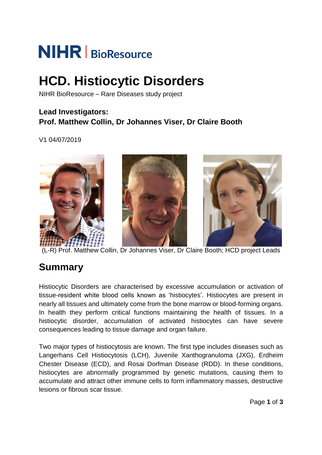# **NIHR** | BioResource

# **HCD. Histiocytic Disorders**

NIHR BioResource – Rare Diseases study project

#### **Lead Investigators: Prof. Matthew Collin, Dr Johannes Viser, Dr Claire Booth**

V1 04/07/2019



(L-R) Prof. Matthew Collin, Dr Johannes Viser, Dr Claire Booth; HCD project Leads

### **Summary**

Histiocytic Disorders are characterised by excessive accumulation or activation of tissue-resident white blood cells known as 'histiocytes'. Histiocytes are present in nearly all tissues and ultimately come from the bone marrow or blood-forming organs. In health they perform critical functions maintaining the health of tissues. In a histiocytic disorder, accumulation of activated histiocytes can have severe consequences leading to tissue damage and organ failure.

Two major types of histiocytosis are known. The first type includes diseases such as Langerhans Cell Histiocytosis (LCH), Juvenile Xanthogranuloma (JXG), Erdheim Chester Disease (ECD), and Rosai Dorfman Disease (RDD). In these conditions, histiocytes are abnormally programmed by genetic mutations, causing them to accumulate and attract other immune cells to form inflammatory masses, destructive lesions or fibrous scar tissue.

Page **1** of **3**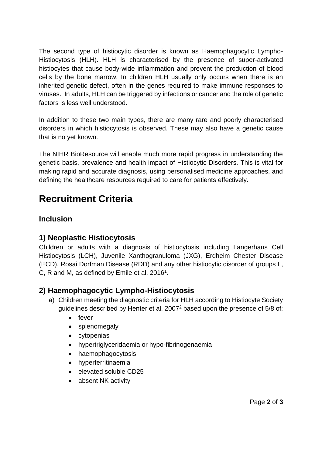The second type of histiocytic disorder is known as Haemophagocytic Lympho-Histiocytosis (HLH). HLH is characterised by the presence of super-activated histiocytes that cause body-wide inflammation and prevent the production of blood cells by the bone marrow. In children HLH usually only occurs when there is an inherited genetic defect, often in the genes required to make immune responses to viruses. In adults, HLH can be triggered by infections or cancer and the role of genetic factors is less well understood.

In addition to these two main types, there are many rare and poorly characterised disorders in which histiocytosis is observed. These may also have a genetic cause that is no yet known.

The NIHR BioResource will enable much more rapid progress in understanding the genetic basis, prevalence and health impact of Histiocytic Disorders. This is vital for making rapid and accurate diagnosis, using personalised medicine approaches, and defining the healthcare resources required to care for patients effectively.

## **Recruitment Criteria**

#### **Inclusion**

#### **1) Neoplastic Histiocytosis**

Children or adults with a diagnosis of histiocytosis including Langerhans Cell Histiocytosis (LCH), Juvenile Xanthogranuloma (JXG), Erdheim Chester Disease (ECD), Rosai Dorfman Disease (RDD) and any other histiocytic disorder of groups L, C, R and M, as defined by Emile et al. 2016<sup>1</sup>.

#### **2) Haemophagocytic Lympho-Histiocytosis**

- a) Children meeting the diagnostic criteria for HLH according to Histiocyte Society guidelines described by Henter et al. 2007<sup>2</sup> based upon the presence of 5/8 of:
	- fever
	- splenomegaly
	- cytopenias
	- hypertriglyceridaemia or hypo-fibrinogenaemia
	- haemophagocytosis
	- hyperferritinaemia
	- elevated soluble CD25
	- absent NK activity